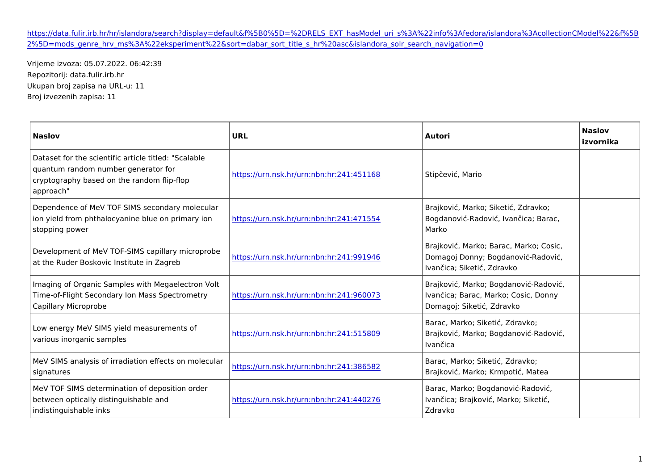## [https://data.fulir.irb.hr/hr/islandora/search?display=default&f%5B0%5D=%2DRELS\\_EXT\\_hasModel\\_uri\\_s%3A%22info%3Af](https://data.fulir.irb.hr/hr/islandora/search?display=default&f[0]=-RELS_EXT_hasModel_uri_s:"info:fedora/islandora:collectionCModel"&f[2]=mods_genre_hrv_ms:"eksperiment"&sort=dabar_sort_title_s_hr asc&islandora_solr_search_navigation=0)edora [2%5D=mods\\_genre\\_hrv\\_ms%3A%22eksperiment%22&sort=dabar\\_sort\\_title\\_s\\_hr%20asc&isl](https://data.fulir.irb.hr/hr/islandora/search?display=default&f[0]=-RELS_EXT_hasModel_uri_s:"info:fedora/islandora:collectionCModel"&f[2]=mods_genre_hrv_ms:"eksperiment"&sort=dabar_sort_title_s_hr asc&islandora_solr_search_navigation=0)andora\_solr\_search\_navigation=0

Vrijeme izvoza: 05.07.2022. 06:42:39 Repozitorij: data.fulir.irb.hr Ukupan broj zapisa na URL-u: 11 Broj izvezenih zapisa: 11

| Naslov                                                                                                                                                                                                                      | URL                                                     | Autori                                                               | Naslov<br>izvornika |
|-----------------------------------------------------------------------------------------------------------------------------------------------------------------------------------------------------------------------------|---------------------------------------------------------|----------------------------------------------------------------------|---------------------|
| Dataset for the scientific article titled: "Scalable<br>quantum random number generator for<br>cryptography based on the random flip-flop<br>approach"                                                                      | https://urn.nsk.hr/urn:nbn:hr:241:451 1S6t8p evi, Mario |                                                                      |                     |
| Dependence of MeV TOF SIMS secondary molecular<br>ion yield from phthalocyanine blue on <mark>þrítimpærý/won.nsk.hr/urn:nbn:hr:241:471</mark> 5B5o4gdanovi –Radovi , Ivan ica; Barac,<br>stopping power                     |                                                         | Brajkovi, Marko; Siketi, Zdravko;<br>Marko                           |                     |
| Development of MeV TOF-SIMS capilla r microprobe<br>https://urn.nsk.hr/urn:nbn:hr:241:991 9046magoj Donny; Bogdanovi - Radovi ,<br>at the Ruder Boskovic Institute in Zagreb                                                |                                                         | Brajkovi, Marko; Barac, Marko; Cosic,<br>Ivan ica; Siketi, Zdravko   |                     |
| Imaging of Organic Samples with Megaelectron Volt<br>Time-of-Flight Secondary Ion Mass Spe <mark>bttpsné⁄tuy</mark> n.nsk.hr/urn:nbn:hr:241:960 <mark>017an ica; Barac, Marko; Cosic</mark> , Donny<br>Capillary Microprobe |                                                         | Brajkovi, Marko; Bogdanovi - Radovi,<br>Domagoj; Siketi, Zdravko     |                     |
| Low energy MeV SIMS yield measureme <mark>hts of the step in the step in the step in the step in the step in sk.hr/urn:nbn:hr:241:515</mark> 8BDr9ajkovi , Marko; Bogdanovi - Radovi ,                                      |                                                         | Barac, Marko; Siketi, Zdravko;<br>Ivan ica                           |                     |
| MeV SIMS analysis of irradiation effects on molecular<br>https://urn.nsk.hr/urn:nbn:hr:241:38658<br>signatures                                                                                                              |                                                         | Barac, Marko; Siketi , Zdravko;<br>Brajkovi , Marko; Krmpoti , Matea |                     |
| MeV TOF SIMS determination of deposition order<br>between optically distinguishable and https://urn.nsk.hr/urn:nbn:hr:241:440270an ica; Brajkovi , Marko; Siketi ,<br>indistinguishable inks                                |                                                         | Barac, Marko; Bogdanovi - Radovi,<br>Zdravko                         |                     |